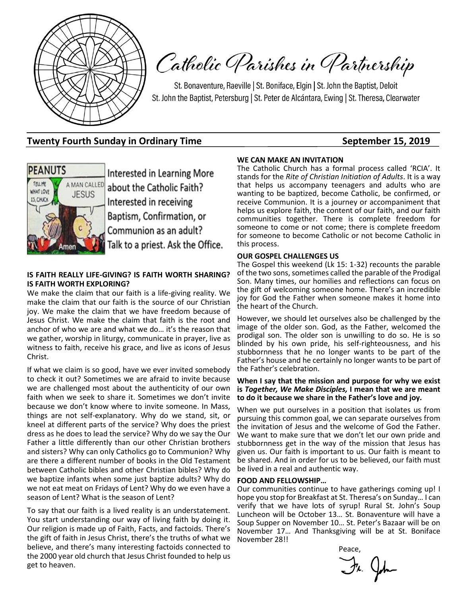

Catholic Parishes in Partnership

St. Bonaventure, Raeville | St. Boniface, Elgin | St. John the Baptist, Deloit St. John the Baptist, Petersburg | St. Peter de Alcántara, Ewing | St. Theresa, Clearwater

### **Twenty Fourth Sunday in Ordinary Time September 15, 2019**



Interested in Learning More about the Catholic Faith? Interested in receiving Baptism, Confirmation, or Communion as an adult? Talk to a priest. Ask the Office.

### **IS FAITH REALLY LIFE-GIVING? IS FAITH WORTH SHARING? IS FAITH WORTH EXPLORING?**

We make the claim that our faith is a life-giving reality. We make the claim that our faith is the source of our Christian joy. We make the claim that we have freedom because of Jesus Christ. We make the claim that faith is the root and anchor of who we are and what we do… it's the reason that we gather, worship in liturgy, communicate in prayer, live as witness to faith, receive his grace, and live as icons of Jesus Christ.

If what we claim is so good, have we ever invited somebody to check it out? Sometimes we are afraid to invite because we are challenged most about the authenticity of our own faith when we seek to share it. Sometimes we don't invite because we don't know where to invite someone. In Mass, things are not self-explanatory. Why do we stand, sit, or kneel at different parts of the service? Why does the priest dress as he does to lead the service? Why do we say the Our Father a little differently than our other Christian brothers and sisters? Why can only Catholics go to Communion? Why are there a different number of books in the Old Testament between Catholic bibles and other Christian bibles? Why do we baptize infants when some just baptize adults? Why do we not eat meat on Fridays of Lent? Why do we even have a season of Lent? What is the season of Lent?

To say that our faith is a lived reality is an understatement. You start understanding our way of living faith by doing it. Our religion is made up of Faith, Facts, and factoids. There's the gift of faith in Jesus Christ, there's the truths of what we believe, and there's many interesting factoids connected to the 2000 year old church that Jesus Christ founded to help us get to heaven.

#### **WE CAN MAKE AN INVITATION**

The Catholic Church has a formal process called 'RCIA'. It stands for the *Rite of Christian Initiation of Adults*. It is a way that helps us accompany teenagers and adults who are wanting to be baptized, become Catholic, be confirmed, or receive Communion. It is a journey or accompaniment that helps us explore faith, the content of our faith, and our faith communities together. There is complete freedom for someone to come or not come; there is complete freedom for someone to become Catholic or not become Catholic in this process.

#### **OUR GOSPEL CHALLENGES US**

The Gospel this weekend (Lk 15: 1-32) recounts the parable of the two sons, sometimes called the parable of the Prodigal Son. Many times, our homilies and reflections can focus on the gift of welcoming someone home. There's an incredible joy for God the Father when someone makes it home into the heart of the Church.

However, we should let ourselves also be challenged by the image of the older son. God, as the Father, welcomed the prodigal son. The older son is unwilling to do so. He is so blinded by his own pride, his self-righteousness, and his stubbornness that he no longer wants to be part of the Father's house and he certainly no longer wants to be part of the Father's celebration.

#### **When I say that the mission and purpose for why we exist is** *Together, We Make Disciples,* **I mean that we are meant to do it because we share in the Father's love and joy***.*

When we put ourselves in a position that isolates us from pursuing this common goal, we can separate ourselves from the invitation of Jesus and the welcome of God the Father. We want to make sure that we don't let our own pride and stubbornness get in the way of the mission that Jesus has given us. Our faith is important to us. Our faith is meant to be shared. And in order for us to be believed, our faith must be lived in a real and authentic way.

#### **FOOD AND FELLOWSHIP…**

Our communities continue to have gatherings coming up! I hope you stop for Breakfast at St. Theresa's on Sunday… I can verify that we have lots of syrup! Rural St. John's Soup Luncheon will be October 13… St. Bonaventure will have a Soup Supper on November 10… St. Peter's Bazaar will be on November 17… And Thanksgiving will be at St. Boniface November 28!!

**Peace, and the contract of the Peace,** 

Fr. John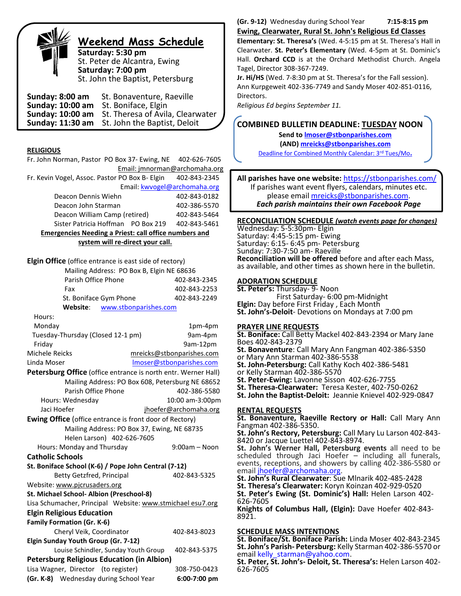

# **Weekend Mass Schedule**

**Saturday: 5:30 pm** St. Peter de Alcantra, Ewing **Saturday: 7:00 pm** St. John the Baptist, Petersburg

**Sunday: 8:00 am** St. Bonaventure, Raeville **Sunday: 10:00 am** St. Boniface, Elgin **Sunday: 10:00 am** St. Theresa of Avila, Clearwater St. John the Baptist, Deloit

#### **RELIGIOUS**

| Fr. John Norman, Pastor PO Box 37- Ewing, NE                                             | 402-626-7605                                     |  |  |  |  |  |  |
|------------------------------------------------------------------------------------------|--------------------------------------------------|--|--|--|--|--|--|
|                                                                                          | Email: jmnorman@archomaha.org                    |  |  |  |  |  |  |
| Fr. Kevin Vogel, Assoc. Pastor PO Box B- Elgin                                           | 402-843-2345                                     |  |  |  |  |  |  |
| Email: kwvogel@archomaha.org                                                             |                                                  |  |  |  |  |  |  |
| Deacon Dennis Wiehn                                                                      | 402-843-0182                                     |  |  |  |  |  |  |
| Deacon John Starman                                                                      | 402-386-5570                                     |  |  |  |  |  |  |
| Deacon William Camp (retired)                                                            | 402-843-5464                                     |  |  |  |  |  |  |
| Sister Patricia Hoffman PO Box 219                                                       | 402-843-5461                                     |  |  |  |  |  |  |
| <b>Emergencies Needing a Priest: call office numbers and</b>                             |                                                  |  |  |  |  |  |  |
| system will re-direct your call.                                                         |                                                  |  |  |  |  |  |  |
| <b>Elgin Office</b> (office entrance is east side of rectory)                            |                                                  |  |  |  |  |  |  |
| Mailing Address: PO Box B, Elgin NE 68636                                                |                                                  |  |  |  |  |  |  |
| Parish Office Phone                                                                      | 402-843-2345                                     |  |  |  |  |  |  |
| Fax                                                                                      | 402-843-2253                                     |  |  |  |  |  |  |
| St. Boniface Gym Phone                                                                   | 402-843-2249                                     |  |  |  |  |  |  |
| Website:<br>www.stbonparishes.com                                                        |                                                  |  |  |  |  |  |  |
| Hours:                                                                                   |                                                  |  |  |  |  |  |  |
| Monday                                                                                   | 1pm-4pm                                          |  |  |  |  |  |  |
| Tuesday-Thursday (Closed 12-1 pm)                                                        | 9am-4pm                                          |  |  |  |  |  |  |
| Friday                                                                                   | 9am-12pm                                         |  |  |  |  |  |  |
| Michele Reicks                                                                           | mreicks@stbonparishes.com                        |  |  |  |  |  |  |
| Linda Moser                                                                              | Imoser@stbonparishes.com                         |  |  |  |  |  |  |
| Petersburg Office (office entrance is north entr. Werner Hall)                           |                                                  |  |  |  |  |  |  |
|                                                                                          | Mailing Address: PO Box 608, Petersburg NE 68652 |  |  |  |  |  |  |
| Parish Office Phone                                                                      | 402-386-5580                                     |  |  |  |  |  |  |
| Hours: Wednesday                                                                         | 10:00 am-3:00pm                                  |  |  |  |  |  |  |
| Jaci Hoefer<br>jhoefer@archomaha.org                                                     |                                                  |  |  |  |  |  |  |
| Ewing Office (office entrance is front door of Rectory)                                  |                                                  |  |  |  |  |  |  |
| Mailing Address: PO Box 37, Ewing, NE 68735                                              |                                                  |  |  |  |  |  |  |
| Helen Larson) 402-626-7605                                                               | $9:00am - Noon$                                  |  |  |  |  |  |  |
| Hours: Monday and Thursday<br><b>Catholic Schools</b>                                    |                                                  |  |  |  |  |  |  |
|                                                                                          |                                                  |  |  |  |  |  |  |
| St. Boniface School (K-6) / Pope John Central (7-12)<br><b>Betty Getzfred, Principal</b> | 402-843-5325                                     |  |  |  |  |  |  |
| Website: www.pjcrusaders.org                                                             |                                                  |  |  |  |  |  |  |
| St. Michael School- Albion (Preschool-8)                                                 |                                                  |  |  |  |  |  |  |
| Lisa Schumacher, Principal Website: www.stmichael esu7.org                               |                                                  |  |  |  |  |  |  |
| <b>Elgin Religious Education</b>                                                         |                                                  |  |  |  |  |  |  |
| <b>Family Formation (Gr. K-6)</b>                                                        |                                                  |  |  |  |  |  |  |
| Cheryl Veik, Coordinator                                                                 | 402-843-8023                                     |  |  |  |  |  |  |
| Elgin Sunday Youth Group (Gr. 7-12)                                                      |                                                  |  |  |  |  |  |  |
| Louise Schindler, Sunday Youth Group<br>402-843-5375                                     |                                                  |  |  |  |  |  |  |
| <b>Petersburg Religious Education (in Albion)</b>                                        |                                                  |  |  |  |  |  |  |
| Lisa Wagner, Director (to register)<br>308-750-0423                                      |                                                  |  |  |  |  |  |  |
| (Gr. K-8)<br>Wednesday during School Year                                                | 6:00-7:00 pm                                     |  |  |  |  |  |  |
|                                                                                          |                                                  |  |  |  |  |  |  |

#### **(Gr. 9-12)** Wednesday during School Year **7:15-8:15 pm Ewing, Clearwater, Rural St. John's Religious Ed Classes**

**Elementary: St. Theresa's** (Wed. 4-5:15 pm at St. Theresa's Hall in Clearwater. **St. Peter's Elementary** (Wed. 4-5pm at St. Dominic's Hall. **Orchard CCD** is at the Orchard Methodist Church. Angela Tagel, Director 308-367-7249.

**Jr. Hi/HS** (Wed. 7-8:30 pm at St. Theresa's for the Fall session). Ann Kurpgeweit 402-336-7749 and Sandy Moser 402-851-0116, Directors.

*Religious Ed begins September 11.*

j

### **COMBINED BULLETIN DEADLINE: TUESDAY NOON**

**Send t[o lmoser@stbonparishes.com](mailto:lmoser@stbonparishes.com) (AND) [mreicks@stbonparishes.com](mailto:mreicks@stbonparishes.com)** Deadline for Combined Monthly Calendar: 3rd Tues/Mo**.**

**All parishes have one website:** <https://stbonparishes.com/> If parishes want event flyers, calendars, minutes etc. please email [mreicks@stbonparishes.com.](mailto:mreicks@stbonparishes.com) *Each parish maintains their own Facebook Page*

### **RECONCILIATION SCHEDULE** *(watch events page for changes)*

Wednesday: 5-5:30pm- Elgin Saturday: 4:45-5:15 pm- Ewing Saturday: 6:15- 6:45 pm- Petersburg Sunday: 7:30-7:50 am- Raeville **Reconciliation will be offered** before and after each Mass, as available, and other times as shown here in the bulletin.

### **ADORATION SCHEDULE**

**St. Peter's:** Thursday- 9- Noon First Saturday- 6:00 pm-Midnight **Elgin:** Day before First Friday , Each Month **St. John's-Deloit**- Devotions on Mondays at 7:00 pm

#### **PRAYER LINE REQUESTS**

**St. Boniface:** Call Betty Mackel 402-843-2394 or Mary Jane Boes 402-843-2379 **St. Bonaventure**: Call Mary Ann Fangman 402-386-5350 or Mary Ann Starman 402-386-5538 **St. John-Petersburg:** Call Kathy Koch 402-386-5481 or Kelly Starman 402-386-5570 **St. Peter-Ewing:** Lavonne Sisson 402-626-7755 **St. Theresa-Clearwater:** Teresa Kester, 402-750-0262 **St. John the Baptist-Deloit:** Jeannie Knievel 402-929-0847

### **RENTAL REQUESTS**

**St. Bonaventure, Raeville Rectory or Hall:** Call Mary Ann Fangman 402-386-5350.

**St. John's Rectory, Petersburg:** Call Mary Lu Larson 402-843- 8420 or Jacque Luettel 402-843-8974.

**St. John's Werner Hall, Petersburg events** all need to be scheduled through Jaci Hoefer – including all funerals, events, receptions, and showers by calling 402-386-5580 or email [jhoefer@archomaha.org.](mailto:jhoefer@archomaha.org)

**St. John's Rural Clearwater**: Sue Mlnarik 402-485-2428 **St. Theresa's Clearwater:** Koryn Koinzan 402-929-0520 **St. Peter's Ewing (St. Dominic's) Hall:** Helen Larson 402-

626-7605

**Knights of Columbus Hall, (Elgin):** Dave Hoefer 402-843- 8921.

#### **SCHEDULE MASS INTENTIONS**

**St. Boniface/St. Boniface Parish:** Linda Moser 402-843-2345 **St. John's Parish- Petersburg:** Kelly Starman 402-386-5570 or email [kelly\\_starman@yahoo.com.](mailto:kelly_starman@yahoo.com)

**St. Peter, St. John's- Deloit, St. Theresa's:** Helen Larson 402- 626-7605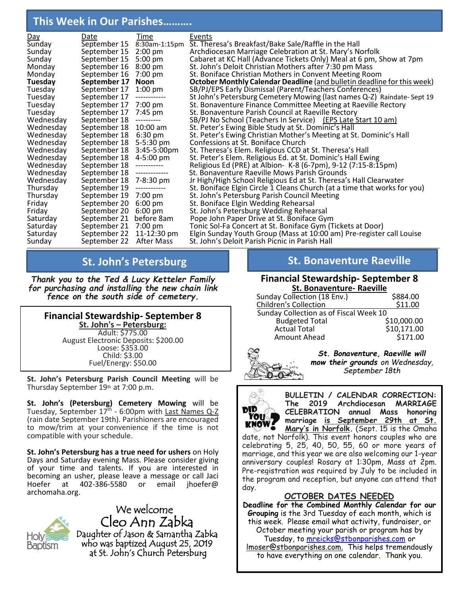# **This Week in Our Parishes……….**

| Date         | Time                                                                                                                                         | Events                                                                         |
|--------------|----------------------------------------------------------------------------------------------------------------------------------------------|--------------------------------------------------------------------------------|
|              | 8:30am-1:15pm                                                                                                                                | St. Theresa's Breakfast/Bake Sale/Raffle in the Hall                           |
| September 15 |                                                                                                                                              | Archdiocesan Marriage Celebration at St. Mary's Norfolk                        |
| September 15 | $5:00$ pm                                                                                                                                    | Cabaret at KC Hall (Advance Tickets Only) Meal at 6 pm, Show at 7pm            |
| September 16 | $8:00 \text{ pm}$                                                                                                                            | St. John's Deloit Christian Mothers after 7:30 pm Mass                         |
| September 16 | $7:00 \text{ pm}$                                                                                                                            | St. Boniface Christian Mothers in Convent Meeting Room                         |
| September 17 | Noon                                                                                                                                         | <b>October Monthly Calendar Deadline</b> (and bulletin deadline for this week) |
| September 17 | $1:00 \text{ pm}$                                                                                                                            | SB/PJ/EPS Early Dismissal (Parent/Teachers Conferences)                        |
| September 17 | -------------                                                                                                                                | St John's Petersburg Cemetery Mowing (last names Q-Z) Raindate-Sept 19         |
| September 17 | 7:00 pm                                                                                                                                      | St. Bonaventure Finance Committee Meeting at Raeville Rectory                  |
| September 17 | 7:45 pm                                                                                                                                      | St. Bonaventure Parish Council at Raeville Rectory                             |
| September 18 | ----------                                                                                                                                   | SB/PJ No School (Teachers In Service) (EPS Late Start 10 am)                   |
|              | $10:00$ am                                                                                                                                   | St. Peter's Ewing Bible Study at St. Dominic's Hall                            |
| September 18 | $6:30 \text{ pm}$                                                                                                                            | St. Peter's Ewing Christian Mother's Meeting at St. Dominic's Hall             |
|              | $5 - 5:30$ pm                                                                                                                                | Confessions at St. Boniface Church                                             |
|              |                                                                                                                                              | St. Theresa's Elem. Religious CCD at St. Theresa's Hall                        |
|              | 4-5:00 pm                                                                                                                                    | St. Peter's Elem. Religious Ed. at St. Dominic's Hall Ewing                    |
| September 18 | -----------                                                                                                                                  | Religious Ed (PRE) at Albion- K-8 (6-7pm), 9-12 (7:15-8:15pm)                  |
|              | -------------                                                                                                                                | St. Bonaventure Raeville Mows Parish Grounds                                   |
| September 18 | 7-8:30 pm                                                                                                                                    | Jr High/High School Religious Ed at St. Theresa's Hall Clearwater              |
| September 19 | ------------                                                                                                                                 | St. Boniface Elgin Circle 1 Cleans Church (at a time that works for you)       |
| September 19 |                                                                                                                                              | St. John's Petersburg Parish Council Meeting                                   |
|              | $6:00 \text{ pm}$                                                                                                                            | St. Boniface Elgin Wedding Rehearsal                                           |
|              | $6:00 \text{ pm}$                                                                                                                            | St. John's Petersburg Wedding Rehearsal                                        |
|              |                                                                                                                                              | Pope John Paper Drive at St. Boniface Gym                                      |
| September 21 | $7:00$ pm                                                                                                                                    | Tonic Sol-Fa Concert at St. Boniface Gym (Tickets at Door)                     |
| September 22 |                                                                                                                                              | Elgin Sunday Youth Group (Mass at 10:00 am) Pre-register call Louise           |
| September 22 | After Mass                                                                                                                                   | St. John's Deloit Parish Picnic in Parish Hall                                 |
|              | September 15<br>September 18<br>September 18<br>September 18<br>September 18<br>September 18<br>September 20<br>September 20<br>September 21 | $2:00$ pm<br>3:45-5:00pm<br>7:00 pm<br>before 8am<br>11-12:30 pm               |

*Thank you to the Ted & Lucy Ketteler Family for purchasing and installing the new chain link fence on the south side of cemetery.*

**Financial Stewardship- September 8 St. John's – Petersburg:** Adult: \$775.00 August Electronic Deposits: \$200.00 Loose: \$353.00 Child: \$3.00 Fuel/Energy: \$50.00

**St. John's Petersburg Parish Council Meeting** will be Thursday September 19th at 7:00 p.m.

**St. John's (Petersburg) Cemetery Mowing** will be Tuesday, September 17<sup>th</sup> - 6:00pm with <u>Last Names Q-Z</u> (rain date September 19th). Parishioners are encouraged to mow/trim at your convenience if the time is not compatible with your schedule.

**St. John's Petersburg has a true need for ushers** on Holy Days and Saturday evening Mass. Please consider giving of your time and talents. If you are interested in becoming an usher, please leave a message or call Jaci Hoefer at 402-386-5580 or email jhoefer@ archomaha.org.

HOI\



#### **St. John's Petersburg and St. Bonaventure Raeville St. Bonaventure Raeville**

#### **Financial Stewardship- September 8 St. Bonaventure- Raeville**

| JU DUNGVENULE- NGEVING                 |             |
|----------------------------------------|-------------|
| Sunday Collection (18 Env.)            | \$884.00    |
| <b>Children's Collection</b>           | \$11.00     |
| Sunday Collection as of Fiscal Week 10 |             |
| <b>Budgeted Total</b>                  | \$10,000.00 |
| <b>Actual Total</b>                    | \$10,171.00 |
| Amount Ahead                           | \$171.00    |
|                                        |             |



*St. Bonaventure, Raeville will mow their grounds on Wednesday, September 18th*



**BULLETIN / CALENDAR CORRECTION: The 2019 Archdiocesan MARRIAGE CELEBRATION annual Mass honoring marriage is September 29th at St. Mary's in Norfolk.** (Sept. 15 is the Omaha

date, not Norfolk). This event honors couples who are celebrating 5, 25, 40, 50, 55, 60 or more years of marriage, and this year we are also welcoming our 1-year anniversary couples! Rosary at 1:30pm, Mass at 2pm. Pre-registration was required by July to be included in the program and reception, but anyone can attend that day.

### **OCTOBER DATES NEEDED**

**Deadline for the Combined Monthly Calendar for our Grouping** is the 3rd Tuesday of each month, which is this week. Please email what activity, fundraiser, or October meeting your parish or program has by Tuesday, to [mreicks@stbonparishes.com](mailto:mreicks@stbonparishes.com) or lmoser@stbonparishes.com. This helps tremendously to have everything on one calendar. Thank you.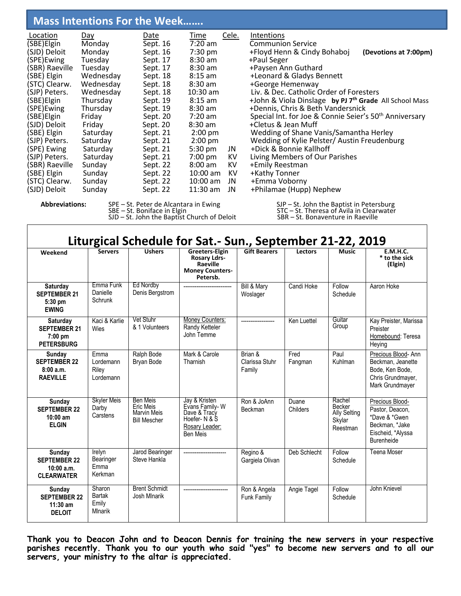# **Mass Intentions For the Week…….**

| (STC) Clearw.<br>+Emma Voborny<br>Sept. 22<br>$10:00$ am<br>JN<br>Sunday<br>+Philamae (Hupp) Nephew<br>$11:30$ am<br>(SJD) Deloit<br>Sept. 22<br>Sunday<br>JN | (SBE) Elgin<br>Monday<br>(SJD) Deloit<br>(SPE)Ewing<br>(SBR) Raeville<br>(SBE) Elgin<br>(STC) Clearw.<br>(SJP) Peters.<br>(SBE) Elgin<br>(SPE)Ewing<br>(SBE) Elgin<br>(SJD) Deloit<br>(SBE) Elgin<br>(SJP) Peters.<br>(SPE) Ewing<br>(SJP) Peters.<br>(SBR) Raeville<br>(SBE) Elgin | Monday<br>Tuesday<br>Tuesday<br>Wednesday<br>Wednesday<br>Wednesday<br>Thursday<br>Thursday<br>Friday<br>Friday<br>Saturdav<br>Saturday<br>Saturday<br>Saturday<br>Sunday<br>Sunday | Sept. 16<br>Sept. 16<br>Sept. 17<br>Sept. 17<br>Sept. 18<br>Sept. 18<br>Sept. 18<br>Sept. 19<br>Sept. 19<br>Sept. 20<br>Sept. 20<br>Sept. 21<br>Sept. 21<br>Sept. 21<br>Sept. 21<br>Sept. 22<br>Sept. 22 | $7:30$ pm<br>$8:30$ am<br>$8:30$ am<br>$8:15$ am<br>$8:30$ am<br>$10:30$ am<br>$8:15$ am<br>$8:30$ am<br>$7:20$ am<br>$8:30$ am<br>$2:00$ pm<br>$2:00$ pm<br>$5:30$ pm<br>7:00 pm<br>$8:00 \text{ am}$<br>$10:00$ am | JN<br>KV<br>KV<br>KV | +Floyd Henn & Cindy Bohaboj<br>+Paul Seger<br>+Paysen Ann Guthard<br>+Leonard & Gladys Bennett<br>+George Hemenway<br>Liv. & Dec. Catholic Order of Foresters<br>+John & Viola Dinslage by PJ 7 <sup>th</sup> Grade All School Mass<br>+Dennis, Chris & Beth Vandersnick<br>Special Int. for Joe & Connie Seier's 50 <sup>th</sup> Anniversary<br>+Cletus & Jean Muff<br>Wedding of Shane Vanis/Samantha Herley<br>Wedding of Kylie Pelster/ Austin Freudenburg<br>+Dick & Bonnie Kallhoff<br>Living Members of Our Parishes<br>+Emily Reestman<br>+Kathy Tonner | (Devotions at 7:00pm) |
|---------------------------------------------------------------------------------------------------------------------------------------------------------------|-------------------------------------------------------------------------------------------------------------------------------------------------------------------------------------------------------------------------------------------------------------------------------------|-------------------------------------------------------------------------------------------------------------------------------------------------------------------------------------|----------------------------------------------------------------------------------------------------------------------------------------------------------------------------------------------------------|----------------------------------------------------------------------------------------------------------------------------------------------------------------------------------------------------------------------|----------------------|------------------------------------------------------------------------------------------------------------------------------------------------------------------------------------------------------------------------------------------------------------------------------------------------------------------------------------------------------------------------------------------------------------------------------------------------------------------------------------------------------------------------------------------------------------------|-----------------------|
|---------------------------------------------------------------------------------------------------------------------------------------------------------------|-------------------------------------------------------------------------------------------------------------------------------------------------------------------------------------------------------------------------------------------------------------------------------------|-------------------------------------------------------------------------------------------------------------------------------------------------------------------------------------|----------------------------------------------------------------------------------------------------------------------------------------------------------------------------------------------------------|----------------------------------------------------------------------------------------------------------------------------------------------------------------------------------------------------------------------|----------------------|------------------------------------------------------------------------------------------------------------------------------------------------------------------------------------------------------------------------------------------------------------------------------------------------------------------------------------------------------------------------------------------------------------------------------------------------------------------------------------------------------------------------------------------------------------------|-----------------------|

**Abbreviations:** SPE – St. Peter de Alcantara in Ewing SJP – St. John the Baptist in Petersburg<br>SBE – St. Boniface in Elgin STC – St. Theresa of Avila in Clearwater<br>SJD – St. John the Baptist Church of Deloit SBR – St. Bon

SJD – St. John the Baptist Church of Deloit SBR – St. Bonaventure in Raeville

SBE – St. Boniface in Elgin STC – St. Theresa of Avila in Clearwater

| Liturgical Schedule for Sat.- Sun., September 21-22, 2019                 |                                                |                                                                    |                                                                                                |                                     |                   |                                                               |                                                                                                                 |
|---------------------------------------------------------------------------|------------------------------------------------|--------------------------------------------------------------------|------------------------------------------------------------------------------------------------|-------------------------------------|-------------------|---------------------------------------------------------------|-----------------------------------------------------------------------------------------------------------------|
| Weekend                                                                   | <b>Servers</b>                                 | <b>Ushers</b>                                                      | Greeters-Elgin<br><b>Rosary Ldrs-</b><br>Raeville<br><b>Money Counters-</b><br>Petersb.        | <b>Gift Bearers</b>                 | <b>Lectors</b>    | <b>Music</b>                                                  | E.M.H.C.<br>* to the sick<br>(Elgin)                                                                            |
| Saturday<br><b>SEPTEMBER 21</b><br>5:30 pm<br><b>EWING</b>                | Emma Funk<br>Danielle<br>Schrunk               | <b>Ed Nordby</b><br>Denis Bergstrom                                |                                                                                                | Bill & Mary<br>Woslager             | Candi Hoke        | Follow<br>Schedule                                            | Aaron Hoke                                                                                                      |
| Saturday<br><b>SEPTEMBER 21</b><br>$7:00 \text{ pm}$<br><b>PETERSBURG</b> | Kaci & Karlie<br>Wies                          | Vet Stuhr<br>& 1 Volunteers                                        | Money Counters:<br><b>Randy Ketteler</b><br>John Temme                                         |                                     | Ken Luettel       | Guitar<br>Group                                               | Kay Preister, Marissa<br>Preister<br>Homebound: Teresa<br>Heying                                                |
| Sunday<br><b>SEPTEMBER 22</b><br>8:00a.m.<br><b>RAEVILLE</b>              | <b>Fmma</b><br>Lordemann<br>Riley<br>Lordemann | Ralph Bode<br>Bryan Bode                                           | Mark & Carole<br>Tharnish                                                                      | Brian &<br>Clarissa Stuhr<br>Family | Fred<br>Fangman   | Paul<br>Kuhlman                                               | Precious Blood-Ann<br>Beckman, Jeanette<br>Bode, Ken Bode,<br>Chris Grundmayer,<br>Mark Grundmayer              |
| Sunday<br><b>SEPTEMBER 22</b><br>$10:00$ am<br><b>ELGIN</b>               | <b>Skyler Meis</b><br>Darby<br>Carstens        | Ben Meis<br>Eric Meis<br><b>Marvin Meis</b><br><b>Bill Mescher</b> | Jay & Kristen<br>Evans Family-W<br>Dave & Tracy<br>Hoefer- N & S<br>Rosary Leader:<br>Ben Meis | Ron & JoAnn<br><b>Beckman</b>       | Duane<br>Childers | Rachel<br>Becker<br><b>Ally Selting</b><br>Skylar<br>Reestman | Precious Blood-<br>Pastor, Deacon,<br>*Dave & *Gwen<br>Beckman, *Jake<br>Eischeid, *Alyssa<br><b>Burenheide</b> |
| Sunday<br><b>SEPTEMBER 22</b><br>10:00 a.m.<br><b>CLEARWATER</b>          | Irelyn<br>Bearinger<br>Emma<br>Kerkman         | Jarod Bearinger<br>Steve Hankla                                    |                                                                                                | Regino &<br>Gargiela Olivan         | Deb Schlecht      | Follow<br>Schedule                                            | <b>Teena Moser</b>                                                                                              |
| Sunday<br><b>SEPTEMBER 22</b><br>$11:30$ am<br><b>DELOIT</b>              | Sharon<br>Bartak<br>Emily<br>Mlnarik           | <b>Brent Schmidt</b><br>Josh Mlnarik                               |                                                                                                | Ron & Angela<br><b>Funk Family</b>  | Angie Tagel       | Follow<br>Schedule                                            | John Knievel                                                                                                    |

**Thank you to Deacon John and to Deacon Dennis for training the new servers in your respective parishes recently. Thank you to our youth who said "yes" to become new servers and to all our servers, your ministry to the altar is appreciated.**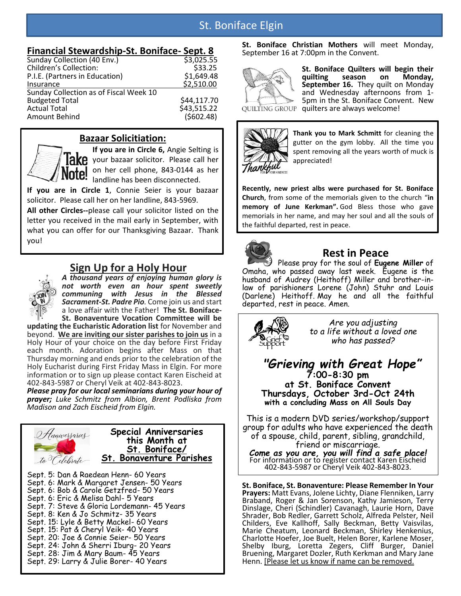# St. Boniface Elgin

## **Financial Stewardship-St. Boniface- Sept. 8**

|                                        | UWWW        |
|----------------------------------------|-------------|
| Sunday Collection (40 Env.)            | \$3,025.55  |
| <b>Children's Collection:</b>          | \$33.25     |
| P.I.E. (Partners in Education)         | \$1,649.48  |
| Insurance                              | \$2,510.00  |
| Sunday Collection as of Fiscal Week 10 |             |
| <b>Budgeted Total</b>                  | \$44,117.70 |
| <b>Actual Total</b>                    | \$43,515.22 |
| Amount Behind                          | (5602.48)   |
|                                        |             |

## **Bazaar Solicitiation:**



### **If you are in Circle 6,** Angie Selting is **IAKP** your bazaar solicitor. Please call her on her cell phone, 843-0144 as her landline has been disconnected.

**If you are in Circle 1**, Connie Seier is your bazaar solicitor. Please call her on her landline, 843-5969.

**All other Circles--**please call your solicitor listed on the letter you received in the mail early in September, with what you can offer for our Thanksgiving Bazaar. Thank you!

# **Sign Up for a Holy Hour**



*A thousand years of enjoying human glory is not worth even an hour spent sweetly communing with Jesus in the Blessed Sacrament-St. Padre Pio.* Come join us and start a love affair with the Father! **The St. Boniface-St. Bonaventure Vocation Committee will be** 

**updating the Eucharistic Adoration list** for November and beyond. **We are inviting our sister parishes to join us** in a Holy Hour of your choice on the day before First Friday each month. Adoration begins after Mass on that Thursday morning and ends prior to the celebration of the Holy Eucharist during First Friday Mass in Elgin. For more information or to sign up please contact Karen Eischeid at 402-843-5987 or Cheryl Veik at 402-843-8023.

*Please pray for our local seminarians during your hour of prayer; Luke Schmitz from Albion, Brent Podliska from Madison and Zach Eischeid from Elgin.*



Sept. 5: Dan & Raedean Henn- 60 Years Sept. 6: Mark & Margaret Jensen- 50 Years Sept. 6: Bob & Carole Getzfred- 50 Years Sept. 6: Eric & Melisa Dahl- 5 Years Sept. 7: Steve & Gloria Lordemann- 45 Years Sept. 8: Ken & Jo Schmitz- 35 Years Sept. 15: Lyle & Betty Mackel- 60 Years Sept. 15: Pat & Cheryl Veik- 40 Years Sept. 20: Joe & Connie Seier- 50 Years Sept. 24: John & Sherri Iburg- 20 Years Sept. 28: Jim & Mary Baum- 45 Years Sept. 29: Larry & Julie Borer- 40 Years

**St. Boniface Christian Mothers** will meet Monday, September 16 at 7:00pm in the Convent.



**St. Boniface Quilters will begin their quilting season on Monday, September 16.** They quilt on Monday and Wednesday afternoons from 1- 5pm in the St. Boniface Convent. New quilters are always welcome!



**Thank you to Mark Schmitt** for cleaning the gutter on the gym lobby. All the time you spent removing all the years worth of muck is appreciated!

**Recently, new priest albs were purchased for St. Boniface Church**, from some of the memorials given to the church "**in memory of June Kerkman".** God Bless those who gave memorials in her name, and may her soul and all the souls of the faithful departed, rest in peace.



# **Rest in Peace**

Please pray for the soul of **Eugene Miller** of Omaha, who passed away last week. Eugene is the husband of Audrey (Heithoff) Miller and brother-inlaw of parishioners Lorene (John) Stuhr and Louis (Darlene) Heithoff. May he and all the faithful departed, rest in peace. Amen.



*Are you adjusting to a life without a loved one who has passed?*

### *"Grieving with Great Hope"* **7:00-8:30 pm at St. Boniface Convent Thursdays, October 3rd-Oct 24th with a concluding Mass on All Souls Day**

This is a modern DVD series/workshop/support group for adults who have experienced the death of a spouse, child, parent, sibling, grandchild, friend or miscarriage.

*Come as you are, you will find a safe place!* For information or to register contact Karen Eischeid 402-843-5987 or Cheryl Veik 402-843-8023.

**St. Boniface, St. Bonaventure: Please Remember In Your Prayers:** Matt Evans, Jolene Lichty, Diane Flenniken, Larry Braband, Roger & Jan Sorenson, Kathy Jamieson, Terry Dinslage, Cheri (Schindler) Cavanagh, Laurie Horn, Dave Shrader, Bob Redler, Garrett Scholz, Alfreda Pelster, Neil Childers, Eve Kallhoff, Sally Beckman, Betty Vaisvilas, Marie Cheatum, Leonard Beckman, Shirley Henkenius, Charlotte Hoefer, Joe Buelt, Helen Borer, Karlene Moser, Shelby Iburg, Loretta Zegers, Cliff Burger, Daniel Bruening, Margaret Dozler, Ruth Kerkman and Mary Jane Henn. [Please let us know if name can be removed.